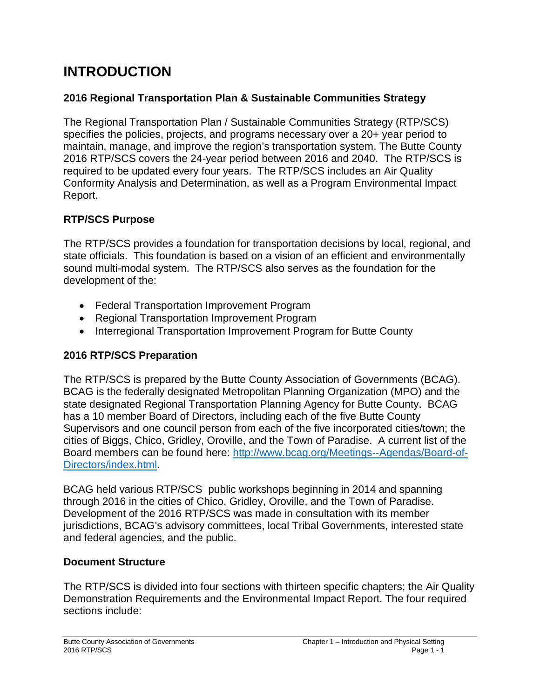# **INTRODUCTION**

#### **2016 Regional Transportation Plan & Sustainable Communities Strategy**

The Regional Transportation Plan / Sustainable Communities Strategy (RTP/SCS) specifies the policies, projects, and programs necessary over a 20+ year period to maintain, manage, and improve the region's transportation system. The Butte County 2016 RTP/SCS covers the 24-year period between 2016 and 2040. The RTP/SCS is required to be updated every four years. The RTP/SCS includes an Air Quality Conformity Analysis and Determination, as well as a Program Environmental Impact Report.

#### **RTP/SCS Purpose**

The RTP/SCS provides a foundation for transportation decisions by local, regional, and state officials. This foundation is based on a vision of an efficient and environmentally sound multi-modal system. The RTP/SCS also serves as the foundation for the development of the:

- Federal Transportation Improvement Program
- Regional Transportation Improvement Program
- Interregional Transportation Improvement Program for Butte County

#### **2016 RTP/SCS Preparation**

The RTP/SCS is prepared by the Butte County Association of Governments (BCAG). BCAG is the federally designated Metropolitan Planning Organization (MPO) and the state designated Regional Transportation Planning Agency for Butte County. BCAG has a 10 member Board of Directors, including each of the five Butte County Supervisors and one council person from each of the five incorporated cities/town; the cities of Biggs, Chico, Gridley, Oroville, and the Town of Paradise. A current list of the Board members can be found here: [http://www.bcag.org/Meetings--Agendas/Board-of-](http://www.bcag.org/Meetings--Agendas/Board-of-Directors/index.html)[Directors/index.html.](http://www.bcag.org/Meetings--Agendas/Board-of-Directors/index.html)

BCAG held various RTP/SCS public workshops beginning in 2014 and spanning through 2016 in the cities of Chico, Gridley, Oroville, and the Town of Paradise. Development of the 2016 RTP/SCS was made in consultation with its member jurisdictions, BCAG's advisory committees, local Tribal Governments, interested state and federal agencies, and the public.

#### **Document Structure**

The RTP/SCS is divided into four sections with thirteen specific chapters; the Air Quality Demonstration Requirements and the Environmental Impact Report. The four required sections include: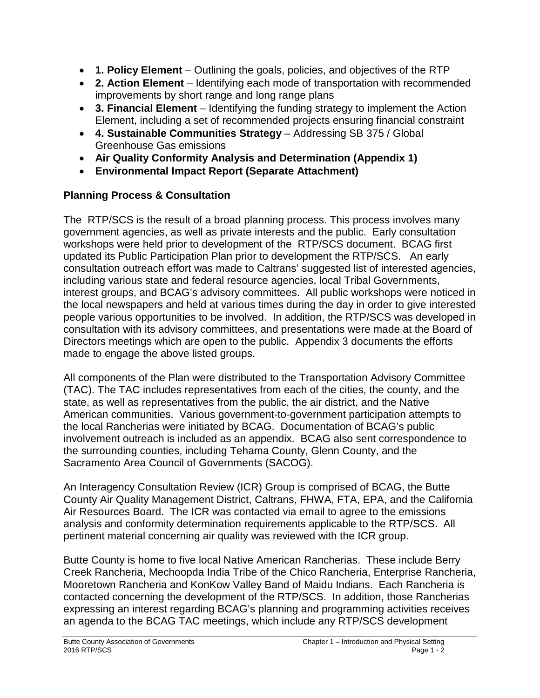- **1. Policy Element** Outlining the goals, policies, and objectives of the RTP
- **2. Action Element** Identifying each mode of transportation with recommended improvements by short range and long range plans
- **3. Financial Element** Identifying the funding strategy to implement the Action Element, including a set of recommended projects ensuring financial constraint
- **4. Sustainable Communities Strategy** Addressing SB 375 / Global Greenhouse Gas emissions
- **Air Quality Conformity Analysis and Determination (Appendix 1)**
- **Environmental Impact Report (Separate Attachment)**

# **Planning Process & Consultation**

The RTP/SCS is the result of a broad planning process. This process involves many government agencies, as well as private interests and the public. Early consultation workshops were held prior to development of the RTP/SCS document. BCAG first updated its Public Participation Plan prior to development the RTP/SCS. An early consultation outreach effort was made to Caltrans' suggested list of interested agencies, including various state and federal resource agencies, local Tribal Governments, interest groups, and BCAG's advisory committees. All public workshops were noticed in the local newspapers and held at various times during the day in order to give interested people various opportunities to be involved. In addition, the RTP/SCS was developed in consultation with its advisory committees, and presentations were made at the Board of Directors meetings which are open to the public. Appendix 3 documents the efforts made to engage the above listed groups.

All components of the Plan were distributed to the Transportation Advisory Committee (TAC). The TAC includes representatives from each of the cities, the county, and the state, as well as representatives from the public, the air district, and the Native American communities. Various government-to-government participation attempts to the local Rancherias were initiated by BCAG. Documentation of BCAG's public involvement outreach is included as an appendix. BCAG also sent correspondence to the surrounding counties, including Tehama County, Glenn County, and the Sacramento Area Council of Governments (SACOG).

An Interagency Consultation Review (ICR) Group is comprised of BCAG, the Butte County Air Quality Management District, Caltrans, FHWA, FTA, EPA, and the California Air Resources Board. The ICR was contacted via email to agree to the emissions analysis and conformity determination requirements applicable to the RTP/SCS. All pertinent material concerning air quality was reviewed with the ICR group.

Butte County is home to five local Native American Rancherias. These include Berry Creek Rancheria, Mechoopda India Tribe of the Chico Rancheria, Enterprise Rancheria, Mooretown Rancheria and KonKow Valley Band of Maidu Indians. Each Rancheria is contacted concerning the development of the RTP/SCS. In addition, those Rancherias expressing an interest regarding BCAG's planning and programming activities receives an agenda to the BCAG TAC meetings, which include any RTP/SCS development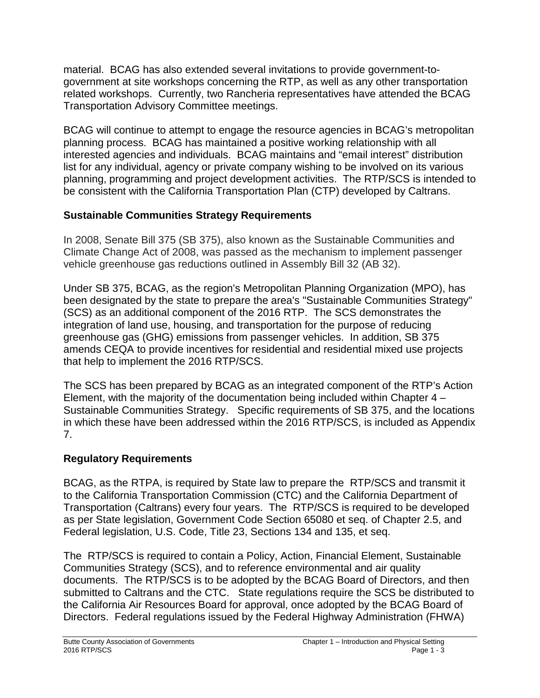material. BCAG has also extended several invitations to provide government-togovernment at site workshops concerning the RTP, as well as any other transportation related workshops. Currently, two Rancheria representatives have attended the BCAG Transportation Advisory Committee meetings.

BCAG will continue to attempt to engage the resource agencies in BCAG's metropolitan planning process. BCAG has maintained a positive working relationship with all interested agencies and individuals. BCAG maintains and "email interest" distribution list for any individual, agency or private company wishing to be involved on its various planning, programming and project development activities. The RTP/SCS is intended to be consistent with the California Transportation Plan (CTP) developed by Caltrans.

### **Sustainable Communities Strategy Requirements**

In 2008, Senate Bill 375 (SB 375), also known as the Sustainable Communities and Climate Change Act of 2008, was passed as the mechanism to implement passenger vehicle greenhouse gas reductions outlined in Assembly Bill 32 (AB 32).

Under SB 375, BCAG, as the region's Metropolitan Planning Organization (MPO), has been designated by the state to prepare the area's "Sustainable Communities Strategy" (SCS) as an additional component of the 2016 RTP. The SCS demonstrates the integration of land use, housing, and transportation for the purpose of reducing greenhouse gas (GHG) emissions from passenger vehicles. In addition, SB 375 amends CEQA to provide incentives for residential and residential mixed use projects that help to implement the 2016 RTP/SCS.

The SCS has been prepared by BCAG as an integrated component of the RTP's Action Element, with the majority of the documentation being included within Chapter 4 – Sustainable Communities Strategy. Specific requirements of SB 375, and the locations in which these have been addressed within the 2016 RTP/SCS, is included as Appendix 7.

#### **Regulatory Requirements**

BCAG, as the RTPA, is required by State law to prepare the RTP/SCS and transmit it to the California Transportation Commission (CTC) and the California Department of Transportation (Caltrans) every four years. The RTP/SCS is required to be developed as per State legislation, Government Code Section 65080 et seq. of Chapter 2.5, and Federal legislation, U.S. Code, Title 23, Sections 134 and 135, et seq.

The RTP/SCS is required to contain a Policy, Action, Financial Element, Sustainable Communities Strategy (SCS), and to reference environmental and air quality documents. The RTP/SCS is to be adopted by the BCAG Board of Directors, and then submitted to Caltrans and the CTC. State regulations require the SCS be distributed to the California Air Resources Board for approval, once adopted by the BCAG Board of Directors. Federal regulations issued by the Federal Highway Administration (FHWA)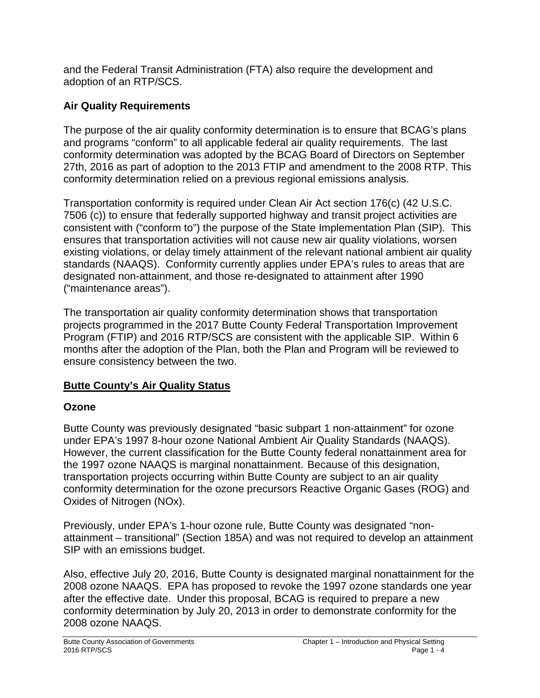and the Federal Transit Administration (FTA) also require the development and adoption of an RTP/SCS.

### **Air Quality Requirements**

The purpose of the air quality conformity determination is to ensure that BCAG's plans and programs "conform" to all applicable federal air quality requirements. The last conformity determination was adopted by the BCAG Board of Directors on September 27th, 2016 as part of adoption to the 2013 FTIP and amendment to the 2008 RTP. This conformity determination relied on a previous regional emissions analysis.

Transportation conformity is required under Clean Air Act section 176(c) (42 U.S.C. 7506 (c)) to ensure that federally supported highway and transit project activities are consistent with ("conform to") the purpose of the State Implementation Plan (SIP). This ensures that transportation activities will not cause new air quality violations, worsen existing violations, or delay timely attainment of the relevant national ambient air quality standards (NAAQS). Conformity currently applies under EPA's rules to areas that are designated non-attainment, and those re-designated to attainment after 1990 ("maintenance areas").

The transportation air quality conformity determination shows that transportation projects programmed in the 2017 Butte County Federal Transportation Improvement Program (FTIP) and 2016 RTP/SCS are consistent with the applicable SIP. Within 6 months after the adoption of the Plan, both the Plan and Program will be reviewed to ensure consistency between the two.

#### **Butte County's Air Quality Status**

# **Ozone**

Butte County was previously designated "basic subpart 1 non-attainment" for ozone under EPA's 1997 8-hour ozone National Ambient Air Quality Standards (NAAQS). However, the current classification for the Butte County federal nonattainment area for the 1997 ozone NAAQS is marginal nonattainment. Because of this designation, transportation projects occurring within Butte County are subject to an air quality conformity determination for the ozone precursors Reactive Organic Gases (ROG) and Oxides of Nitrogen (NOx).

Previously, under EPA's 1-hour ozone rule, Butte County was designated "nonattainment – transitional" (Section 185A) and was not required to develop an attainment SIP with an emissions budget.

Also, effective July 20, 2016, Butte County is designated marginal nonattainment for the 2008 ozone NAAQS. EPA has proposed to revoke the 1997 ozone standards one year after the effective date. Under this proposal, BCAG is required to prepare a new conformity determination by July 20, 2013 in order to demonstrate conformity for the 2008 ozone NAAQS.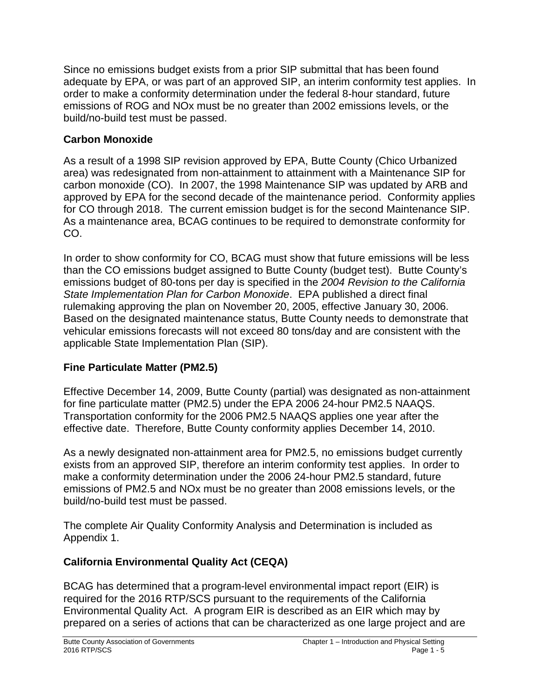Since no emissions budget exists from a prior SIP submittal that has been found adequate by EPA, or was part of an approved SIP, an interim conformity test applies. In order to make a conformity determination under the federal 8-hour standard, future emissions of ROG and NOx must be no greater than 2002 emissions levels, or the build/no-build test must be passed.

#### **Carbon Monoxide**

As a result of a 1998 SIP revision approved by EPA, Butte County (Chico Urbanized area) was redesignated from non-attainment to attainment with a Maintenance SIP for carbon monoxide (CO). In 2007, the 1998 Maintenance SIP was updated by ARB and approved by EPA for the second decade of the maintenance period. Conformity applies for CO through 2018. The current emission budget is for the second Maintenance SIP. As a maintenance area, BCAG continues to be required to demonstrate conformity for CO.

In order to show conformity for CO, BCAG must show that future emissions will be less than the CO emissions budget assigned to Butte County (budget test). Butte County's emissions budget of 80-tons per day is specified in the *2004 Revision to the California State Implementation Plan for Carbon Monoxide*. EPA published a direct final rulemaking approving the plan on November 20, 2005, effective January 30, 2006. Based on the designated maintenance status, Butte County needs to demonstrate that vehicular emissions forecasts will not exceed 80 tons/day and are consistent with the applicable State Implementation Plan (SIP).

# **Fine Particulate Matter (PM2.5)**

Effective December 14, 2009, Butte County (partial) was designated as non-attainment for fine particulate matter (PM2.5) under the EPA 2006 24-hour PM2.5 NAAQS. Transportation conformity for the 2006 PM2.5 NAAQS applies one year after the effective date. Therefore, Butte County conformity applies December 14, 2010.

As a newly designated non-attainment area for PM2.5, no emissions budget currently exists from an approved SIP, therefore an interim conformity test applies. In order to make a conformity determination under the 2006 24-hour PM2.5 standard, future emissions of PM2.5 and NOx must be no greater than 2008 emissions levels, or the build/no-build test must be passed.

The complete Air Quality Conformity Analysis and Determination is included as Appendix 1.

# **California Environmental Quality Act (CEQA)**

BCAG has determined that a program-level environmental impact report (EIR) is required for the 2016 RTP/SCS pursuant to the requirements of the California Environmental Quality Act. A program EIR is described as an EIR which may by prepared on a series of actions that can be characterized as one large project and are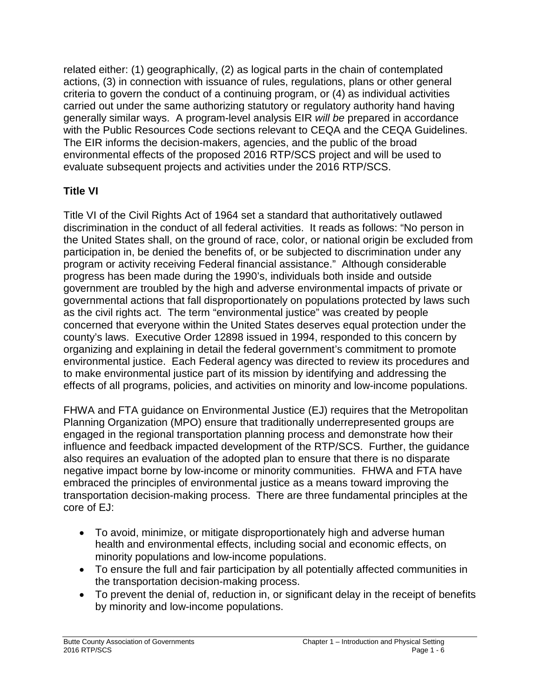related either: (1) geographically, (2) as logical parts in the chain of contemplated actions, (3) in connection with issuance of rules, regulations, plans or other general criteria to govern the conduct of a continuing program, or (4) as individual activities carried out under the same authorizing statutory or regulatory authority hand having generally similar ways. A program-level analysis EIR *will be* prepared in accordance with the Public Resources Code sections relevant to CEQA and the CEQA Guidelines. The EIR informs the decision-makers, agencies, and the public of the broad environmental effects of the proposed 2016 RTP/SCS project and will be used to evaluate subsequent projects and activities under the 2016 RTP/SCS.

#### **Title VI**

Title VI of the Civil Rights Act of 1964 set a standard that authoritatively outlawed discrimination in the conduct of all federal activities. It reads as follows: "No person in the United States shall, on the ground of race, color, or national origin be excluded from participation in, be denied the benefits of, or be subjected to discrimination under any program or activity receiving Federal financial assistance." Although considerable progress has been made during the 1990's, individuals both inside and outside government are troubled by the high and adverse environmental impacts of private or governmental actions that fall disproportionately on populations protected by laws such as the civil rights act. The term "environmental justice" was created by people concerned that everyone within the United States deserves equal protection under the county's laws. Executive Order 12898 issued in 1994, responded to this concern by organizing and explaining in detail the federal government's commitment to promote environmental justice. Each Federal agency was directed to review its procedures and to make environmental justice part of its mission by identifying and addressing the effects of all programs, policies, and activities on minority and low-income populations.

FHWA and FTA guidance on Environmental Justice (EJ) requires that the Metropolitan Planning Organization (MPO) ensure that traditionally underrepresented groups are engaged in the regional transportation planning process and demonstrate how their influence and feedback impacted development of the RTP/SCS. Further, the guidance also requires an evaluation of the adopted plan to ensure that there is no disparate negative impact borne by low-income or minority communities. FHWA and FTA have embraced the principles of environmental justice as a means toward improving the transportation decision-making process. There are three fundamental principles at the core of EJ:

- To avoid, minimize, or mitigate disproportionately high and adverse human health and environmental effects, including social and economic effects, on minority populations and low-income populations.
- To ensure the full and fair participation by all potentially affected communities in the transportation decision-making process.
- To prevent the denial of, reduction in, or significant delay in the receipt of benefits by minority and low-income populations.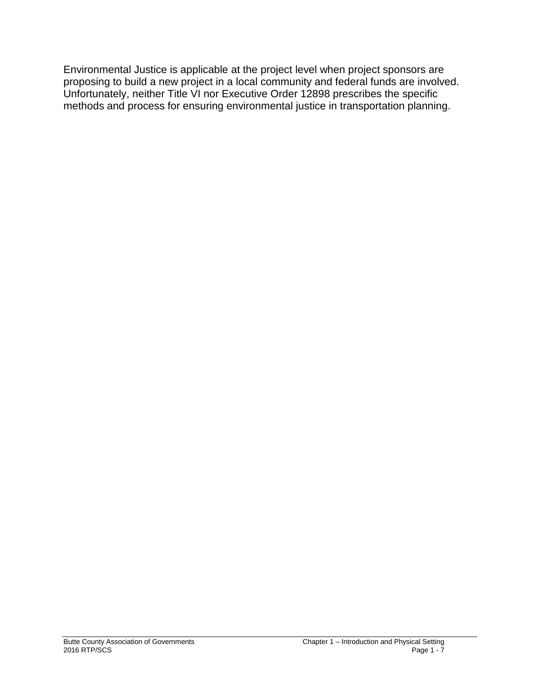Environmental Justice is applicable at the project level when project sponsors are proposing to build a new project in a local community and federal funds are involved. Unfortunately, neither Title VI nor Executive Order 12898 prescribes the specific methods and process for ensuring environmental justice in transportation planning.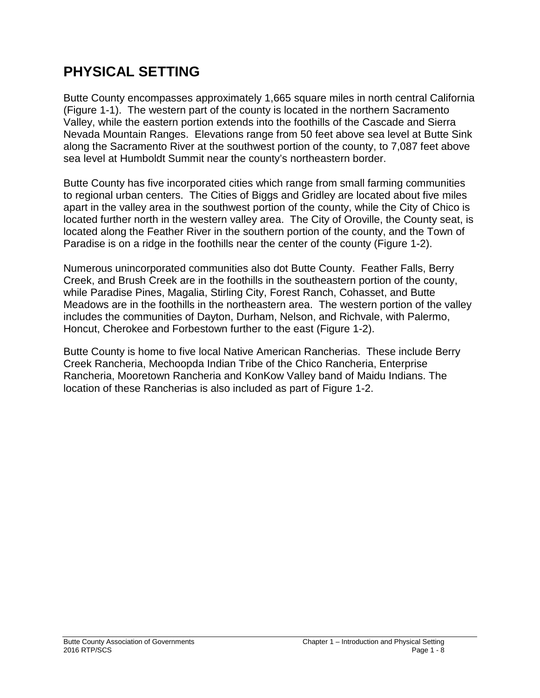# **PHYSICAL SETTING**

Butte County encompasses approximately 1,665 square miles in north central California (Figure 1-1). The western part of the county is located in the northern Sacramento Valley, while the eastern portion extends into the foothills of the Cascade and Sierra Nevada Mountain Ranges. Elevations range from 50 feet above sea level at Butte Sink along the Sacramento River at the southwest portion of the county, to 7,087 feet above sea level at Humboldt Summit near the county's northeastern border.

Butte County has five incorporated cities which range from small farming communities to regional urban centers. The Cities of Biggs and Gridley are located about five miles apart in the valley area in the southwest portion of the county, while the City of Chico is located further north in the western valley area. The City of Oroville, the County seat, is located along the Feather River in the southern portion of the county, and the Town of Paradise is on a ridge in the foothills near the center of the county (Figure 1-2).

Numerous unincorporated communities also dot Butte County. Feather Falls, Berry Creek, and Brush Creek are in the foothills in the southeastern portion of the county, while Paradise Pines, Magalia, Stirling City, Forest Ranch, Cohasset, and Butte Meadows are in the foothills in the northeastern area. The western portion of the valley includes the communities of Dayton, Durham, Nelson, and Richvale, with Palermo, Honcut, Cherokee and Forbestown further to the east (Figure 1-2).

Butte County is home to five local Native American Rancherias. These include Berry Creek Rancheria, Mechoopda Indian Tribe of the Chico Rancheria, Enterprise Rancheria, Mooretown Rancheria and KonKow Valley band of Maidu Indians. The location of these Rancherias is also included as part of Figure 1-2.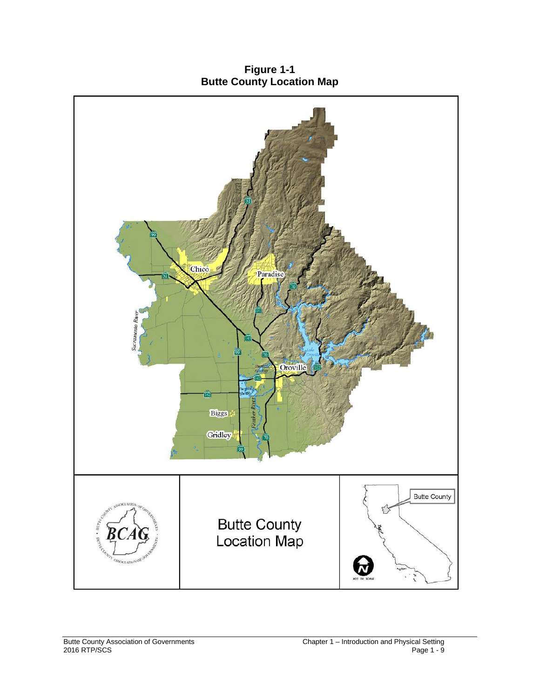**Figure 1-1 Butte County Location Map**